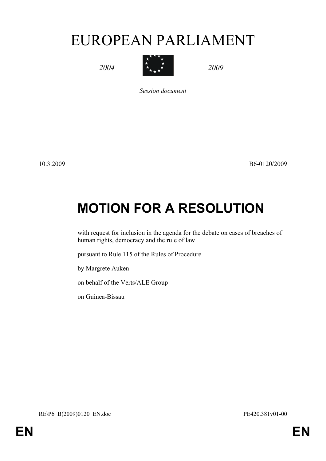# EUROPEAN PARLIAMENT

*2004*



*2009*

*Session document*

10.3.2009 B6-0120/2009

# **MOTION FOR A RESOLUTION**

with request for inclusion in the agenda for the debate on cases of breaches of human rights, democracy and the rule of law

pursuant to Rule 115 of the Rules of Procedure

by Margrete Auken

on behalf of the Verts/ALE Group

<span id="page-0-0"></span>on Guinea-Bissau

<span id="page-0-1"></span>RE\P6\_B(2009)0120\_EN.doc PE420.381v01-00

**EN EN**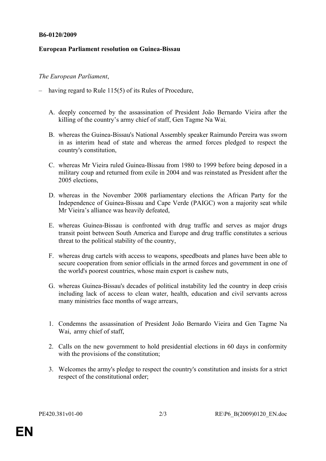#### **B6-0120/2009**

### **European Parliament resolution on Guinea-Bissau**

## *The European Parliament*,

- having regard to Rule 115(5) of its Rules of Procedure,
	- A. deeply concerned by the assassination of President João Bernardo Vieira after the killing of the country's army chief of staff, Gen Tagme Na Wai,
	- B. whereas the Guinea-Bissau's National Assembly speaker Raimundo Pereira was sworn in as interim head of state and whereas the armed forces pledged to respect the country's constitution,
	- C. whereas Mr Vieira ruled Guinea-Bissau from 1980 to 1999 before being deposed in a military coup and returned from exile in 2004 and was reinstated as President after the 2005 elections
	- D. whereas in the November 2008 parliamentary elections the African Party for the Independence of Guinea-Bissau and Cape Verde (PAIGC) won a majority seat while Mr Vieira's alliance was heavily defeated,
	- E. whereas Guinea-Bissau is confronted with drug traffic and serves as major drugs transit point between South America and Europe and drug traffic constitutes a serious threat to the political stability of the country,
	- F. whereas drug cartels with access to weapons, speedboats and planes have been able to secure cooperation from senior officials in the armed forces and government in one of the world's poorest countries, whose main export is cashew nuts,
	- G. whereas Guinea-Bissau's decades of political instability led the country in deep crisis including lack of access to clean water, health, education and civil servants across many ministries face months of wage arrears,
	- 1. Condemns the assassination of President João Bernardo Vieira and Gen Tagme Na Wai, army chief of staff,
	- 2. Calls on the new government to hold presidential elections in 60 days in conformity with the provisions of the constitution;
	- 3. Welcomes the army's pledge to respect the country's constitution and insists for a strict respect of the constitutional order;